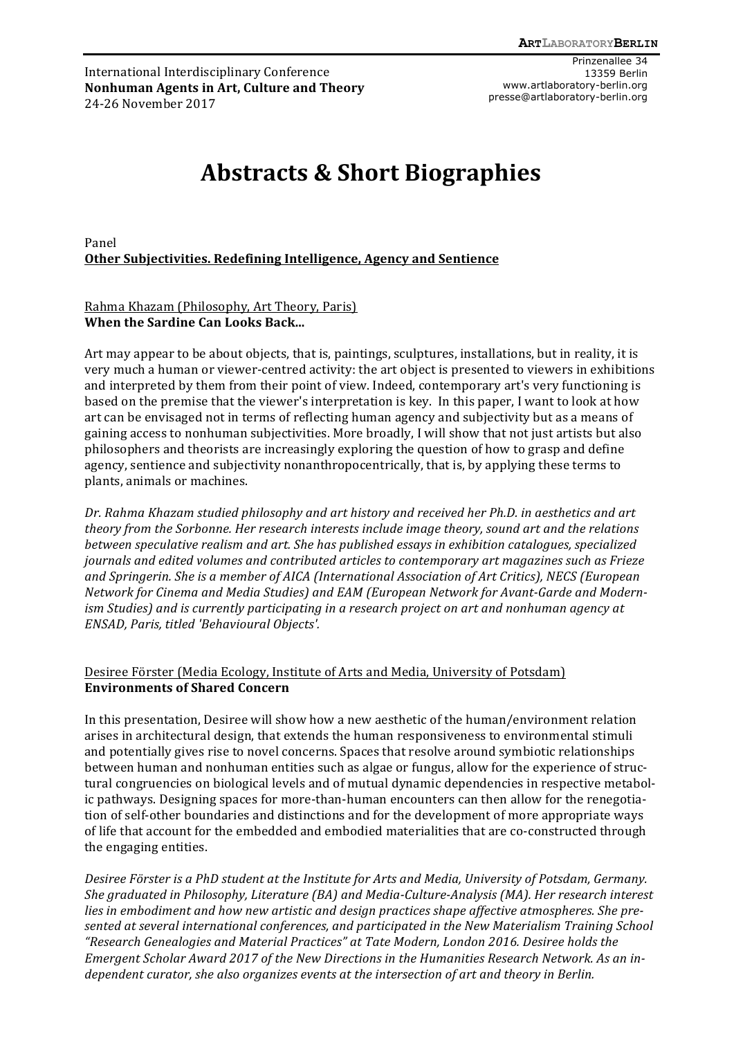International Interdisciplinary Conference **Nonhuman Agents in Art, Culture and Theory** 24-26 November 2017

Prinzenallee 34 13359 Berlin www.artlaboratory-berlin.org presse@artlaboratory-berlin.org

# **Abstracts & Short Biographies**

Panel **Other Subjectivities. Redefining Intelligence, Agency and Sentience** 

#### Rahma Khazam (Philosophy, Art Theory, Paris) **When the Sardine Can Looks Back...**

Art may appear to be about objects, that is, paintings, sculptures, installations, but in reality, it is very much a human or viewer-centred activity: the art object is presented to viewers in exhibitions and interpreted by them from their point of view. Indeed, contemporary art's very functioning is based on the premise that the viewer's interpretation is key. In this paper, I want to look at how art can be envisaged not in terms of reflecting human agency and subjectivity but as a means of gaining access to nonhuman subjectivities. More broadly, I will show that not just artists but also philosophers and theorists are increasingly exploring the question of how to grasp and define agency, sentience and subjectivity nonanthropocentrically, that is, by applying these terms to plants, animals or machines.

Dr. Rahma Khazam studied philosophy and art history and received her Ph.D. in aesthetics and art *theory from the Sorbonne. Her research interests include image theory, sound art and the relations between speculative realism and art. She has published essays in exhibition catalogues, specialized journals and edited volumes and contributed articles to contemporary art magazines such as Frieze* and Springerin. She is a member of AICA (International Association of Art Critics), NECS (European Network for Cinema and Media Studies) and EAM (European Network for Avant-Garde and Modern*ism Studies)* and *is currently participating in a research project on art and nonhuman agency at ENSAD, Paris, titled 'Behavioural Objects'.*

#### Desiree Förster (Media Ecology, Institute of Arts and Media, University of Potsdam) **Environments of Shared Concern**

In this presentation, Desiree will show how a new aesthetic of the human/environment relation arises in architectural design, that extends the human responsiveness to environmental stimuli and potentially gives rise to novel concerns. Spaces that resolve around symbiotic relationships between human and nonhuman entities such as algae or fungus, allow for the experience of structural congruencies on biological levels and of mutual dynamic dependencies in respective metabolic pathways. Designing spaces for more-than-human encounters can then allow for the renegotiation of self-other boundaries and distinctions and for the development of more appropriate ways of life that account for the embedded and embodied materialities that are co-constructed through the engaging entities.

*Desiree Förster is a PhD student at the Institute for Arts and Media, University of Potsdam, Germany.* She graduated in Philosophy, Literature (BA) and Media-Culture-Analysis (MA). Her research interest lies in embodiment and how new artistic and design practices shape affective atmospheres. She presented at several international conferences, and participated in the New Materialism Training School *"Research Genealogies and Material Practices" at Tate Modern, London 2016. Desiree holds the*  Emergent Scholar Award 2017 of the New Directions in the Humanities Research Network. As an in*dependent curator, she also organizes events at the intersection of art and theory in Berlin.*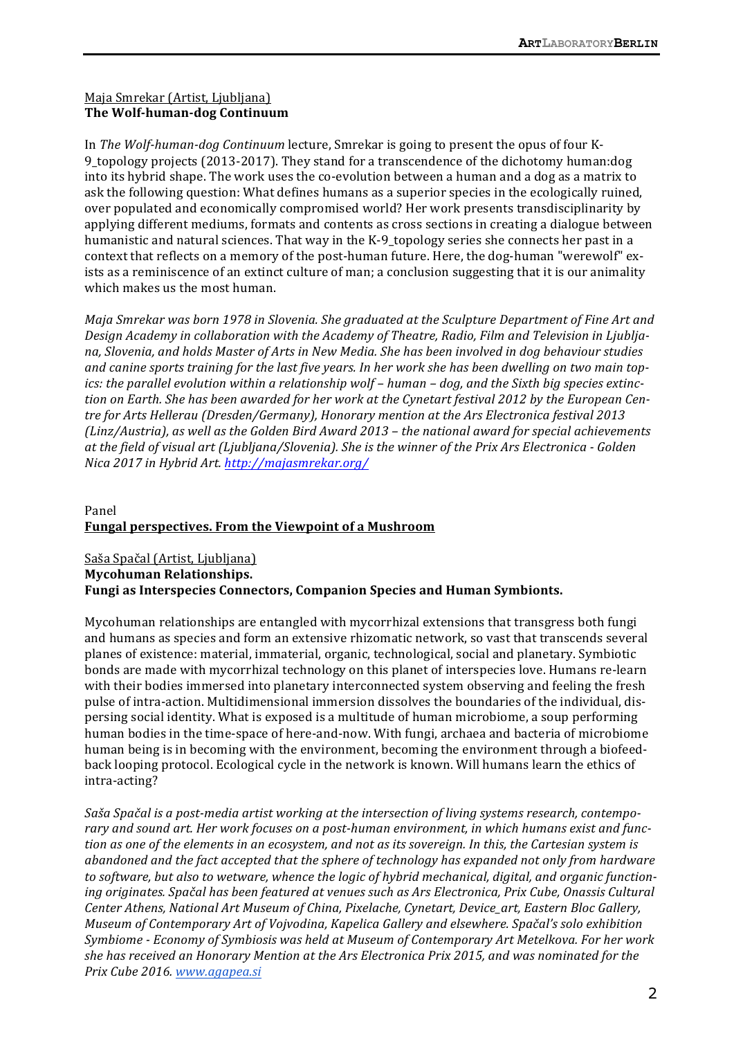### Maja Smrekar (Artist, Ljubljana) **The Wolf-human-dog Continuum**

In *The Wolf-human-dog Continuum* lecture, Smrekar is going to present the opus of four K-9\_topology projects (2013-2017). They stand for a transcendence of the dichotomy human:dog into its hybrid shape. The work uses the co-evolution between a human and a dog as a matrix to ask the following question: What defines humans as a superior species in the ecologically ruined, over populated and economically compromised world? Her work presents transdisciplinarity by applying different mediums, formats and contents as cross sections in creating a dialogue between humanistic and natural sciences. That way in the K-9\_topology series she connects her past in a context that reflects on a memory of the post-human future. Here, the dog-human "werewolf" exists as a reminiscence of an extinct culture of man; a conclusion suggesting that it is our animality which makes us the most human.

*Maja Smrekar was born 1978 in Slovenia. She graduated at the Sculpture Department of Fine Art and* Design Academy in collaboration with the Academy of Theatre, Radio, Film and Television in Ljubljana, Slovenia, and holds Master of Arts in New Media. She has been involved in dog behaviour studies and canine sports training for the last five years. In her work she has been dwelling on two main top*ics:* the parallel evolution within a relationship wolf - human - dog, and the Sixth big species extinction on Earth. She has been awarded for her work at the Cynetart festival 2012 by the European Centre for Arts Hellerau (Dresden/Germany), Honorary mention at the Ars Electronica festival 2013 *(Linz/Austria), as well as the Golden Bird Award 2013 – the national award for special achievements at* the field of visual art (Ljubljana/Slovenia). She is the winner of the Prix Ars Electronica - Golden *Nica 2017 in Hybrid Art. http://majasmrekar.org/*

# Panel **Fungal perspectives. From the Viewpoint of a Mushroom**

Saša Spačal (Artist, Ljubljana) **Mycohuman Relationships.**  Fungi as Interspecies Connectors, Companion Species and Human Symbionts.

Mycohuman relationships are entangled with mycorrhizal extensions that transgress both fungi and humans as species and form an extensive rhizomatic network, so vast that transcends several planes of existence: material, immaterial, organic, technological, social and planetary. Symbiotic bonds are made with mycorrhizal technology on this planet of interspecies love. Humans re-learn with their bodies immersed into planetary interconnected system observing and feeling the fresh pulse of intra-action. Multidimensional immersion dissolves the boundaries of the individual, dispersing social identity. What is exposed is a multitude of human microbiome, a soup performing human bodies in the time-space of here-and-now. With fungi, archaea and bacteria of microbiome human being is in becoming with the environment, becoming the environment through a biofeedback looping protocol. Ecological cycle in the network is known. Will humans learn the ethics of intra-acting?

Saša Spačal is a post-media artist working at the intersection of living systems research, contemporary and sound art. Her work focuses on a post-human environment, in which humans exist and func*tion as one of the elements in an ecosystem, and not as its sovereign. In this, the Cartesian system is abandoned and the fact accepted that the sphere of technology has expanded not only from hardware* to software, but also to wetware, whence the logic of hybrid mechanical, digital, and organic function*ing* originates. Spačal has been featured at venues such as Ars Electronica, Prix Cube, Onassis Cultural *Center Athens, National Art Museum of China, Pixelache, Cynetart, Device\_art, Eastern Bloc Gallery, Museum of Contemporary Art of Vojvodina, Kapelica Gallery and elsewhere. Spačal's solo exhibition Symbiome - Economy of Symbiosis was held at Museum of Contemporary Art Metelkova. For her work* she has received an Honorary Mention at the Ars Electronica Prix 2015, and was nominated for the *Prix Cube 2016. www.agapea.si*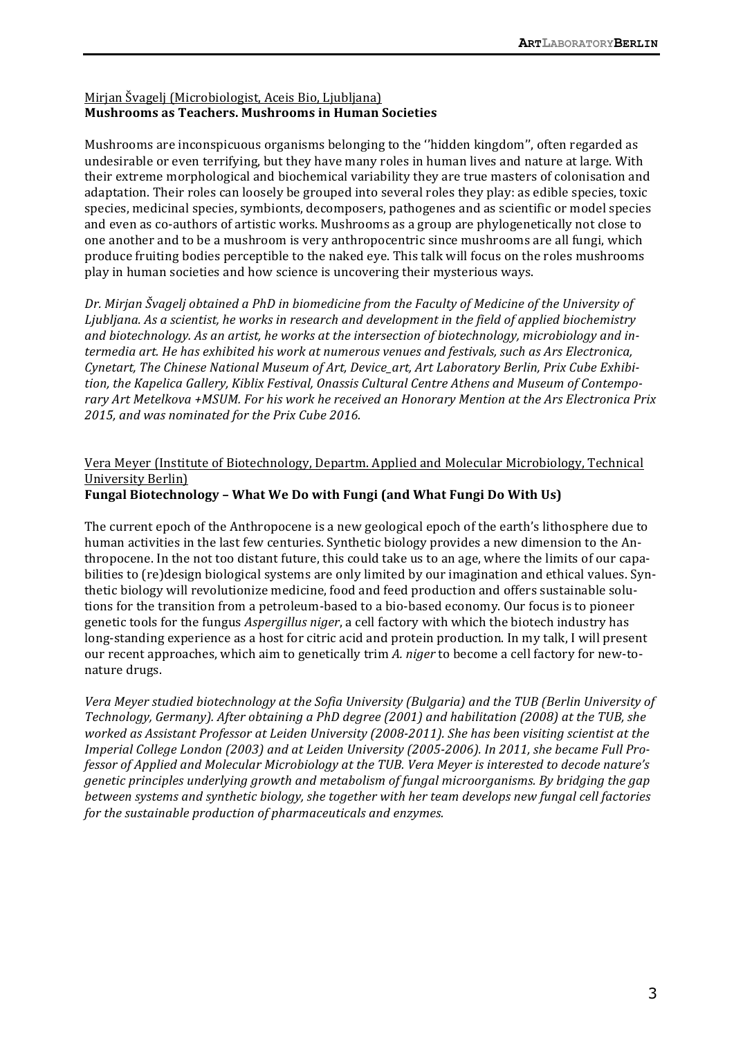### Mirjan Švagelj (Microbiologist, Aceis Bio, Ljubljana) **Mushrooms as Teachers. Mushrooms in Human Societies**

Mushrooms are inconspicuous organisms belonging to the "hidden kingdom", often regarded as undesirable or even terrifying, but they have many roles in human lives and nature at large. With their extreme morphological and biochemical variability they are true masters of colonisation and adaptation. Their roles can loosely be grouped into several roles they play: as edible species, toxic species, medicinal species, symbionts, decomposers, pathogenes and as scientific or model species and even as co-authors of artistic works. Mushrooms as a group are phylogenetically not close to one another and to be a mushroom is very anthropocentric since mushrooms are all fungi, which produce fruiting bodies perceptible to the naked eye. This talk will focus on the roles mushrooms play in human societies and how science is uncovering their mysterious ways.

*Dr.* Mirjan Švagelj obtained a PhD in biomedicine from the Faculty of Medicine of the University of Ljubljana. As a scientist, he works in research and development in the field of applied biochemistry and biotechnology. As an artist, he works at the intersection of biotechnology, microbiology and in*termedia art. He has exhibited his work at numerous venues and festivals, such as Ars Electronica,* Cynetart, The Chinese National Museum of Art, Device\_art, Art Laboratory Berlin, Prix Cube Exhibition, the Kapelica Gallery, Kiblix Festival, Onassis Cultural Centre Athens and Museum of Contemporary Art Metelkova +MSUM. For his work he received an Honorary Mention at the Ars Electronica Prix 2015, and was nominated for the Prix Cube 2016.

# Vera Meyer (Institute of Biotechnology, Departm. Applied and Molecular Microbiology, Technical University Berlin)

# **Fungal Biotechnology - What We Do with Fungi (and What Fungi Do With Us)**

The current epoch of the Anthropocene is a new geological epoch of the earth's lithosphere due to human activities in the last few centuries. Synthetic biology provides a new dimension to the Anthropocene. In the not too distant future, this could take us to an age, where the limits of our capabilities to (re)design biological systems are only limited by our imagination and ethical values. Synthetic biology will revolutionize medicine, food and feed production and offers sustainable solutions for the transition from a petroleum-based to a bio-based economy. Our focus is to pioneer genetic tools for the fungus *Aspergillus niger*, a cell factory with which the biotech industry has long-standing experience as a host for citric acid and protein production. In my talk, I will present our recent approaches, which aim to genetically trim *A. niger* to become a cell factory for new-tonature drugs.

Vera Meyer studied biotechnology at the Sofia University (Bulgaria) and the TUB (Berlin University of Technology, Germany). After obtaining a PhD degree (2001) and habilitation (2008) at the TUB, she *worked as Assistant Professor at Leiden University (2008-2011). She has been visiting scientist at the Imperial College London (2003) and at Leiden University (2005-2006). In 2011, she became Full Professor* of Applied and Molecular Microbiology at the TUB. Vera Meyer is interested to decode nature's *genetic principles underlying growth and metabolism of fungal microorganisms. By bridging the gap between systems and synthetic biology, she together with her team develops new fungal cell factories for the sustainable production of pharmaceuticals and enzymes.*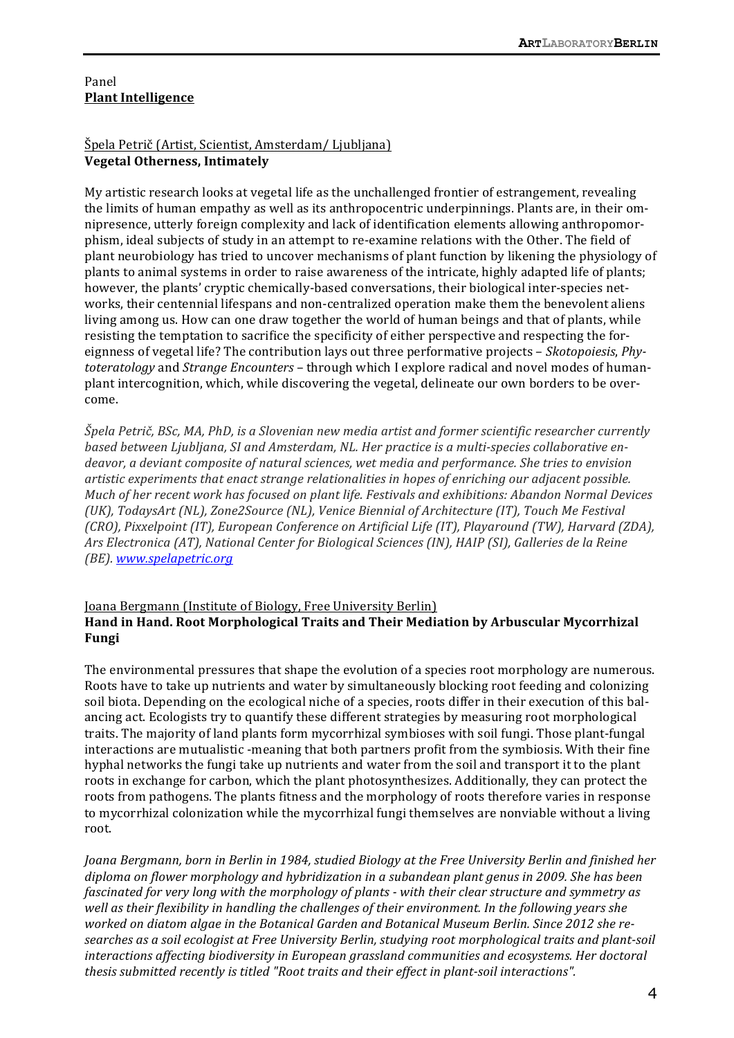#### Panel **Plant Intelligence**

# Špela Petrič (Artist, Scientist, Amsterdam/ Ljubljana) **Vegetal Otherness, Intimately**

My artistic research looks at vegetal life as the unchallenged frontier of estrangement, revealing the limits of human empathy as well as its anthropocentric underpinnings. Plants are, in their omnipresence, utterly foreign complexity and lack of identification elements allowing anthropomorphism, ideal subjects of study in an attempt to re-examine relations with the Other. The field of plant neurobiology has tried to uncover mechanisms of plant function by likening the physiology of plants to animal systems in order to raise awareness of the intricate, highly adapted life of plants; however, the plants' cryptic chemically-based conversations, their biological inter-species networks, their centennial lifespans and non-centralized operation make them the benevolent aliens living among us. How can one draw together the world of human beings and that of plants, while resisting the temptation to sacrifice the specificity of either perspective and respecting the foreignness of vegetal life? The contribution lays out three performative projects – *Skotopoiesis*, *Phytoteratology* and *Strange Encounters* – through which I explore radical and novel modes of humanplant intercognition, which, while discovering the vegetal, delineate our own borders to be overcome.

*Špela Petrič, BSc, MA, PhD, is a Slovenian new media artist and former scientific researcher currently* based between Ljubljana, SI and Amsterdam, NL. Her practice is a multi-species collaborative endeavor, a deviant composite of natural sciences, wet media and performance. She tries to envision *artistic* experiments that enact strange relationalities in hopes of enriching our adjacent possible. *Much of her recent work has focused on plant life. Festivals and exhibitions: Abandon Normal Devices (UK), TodaysArt (NL), Zone2Source (NL), Venice Biennial of Architecture (IT), Touch Me Festival (CRO), Pixxelpoint (IT), European Conference on Artificial Life (IT), Playaround (TW), Harvard (ZDA),* Ars Electronica (AT), National Center for Biological Sciences (IN), HAIP (SI), Galleries de la Reine *(BE). www.spelapetric.org*

# Joana Bergmann (Institute of Biology, Free University Berlin) Hand in Hand. Root Morphological Traits and Their Mediation by Arbuscular Mycorrhizal **Fungi**

The environmental pressures that shape the evolution of a species root morphology are numerous. Roots have to take up nutrients and water by simultaneously blocking root feeding and colonizing soil biota. Depending on the ecological niche of a species, roots differ in their execution of this balancing act. Ecologists try to quantify these different strategies by measuring root morphological traits. The majority of land plants form mycorrhizal symbioses with soil fungi. Those plant-fungal interactions are mutualistic -meaning that both partners profit from the symbiosis. With their fine hyphal networks the fungi take up nutrients and water from the soil and transport it to the plant roots in exchange for carbon, which the plant photosynthesizes. Additionally, they can protect the roots from pathogens. The plants fitness and the morphology of roots therefore varies in response to mycorrhizal colonization while the mycorrhizal fungi themselves are nonviable without a living root.

*Joana Bergmann, born in Berlin in 1984, studied Biology at the Free University Berlin and finished her diploma* on flower morphology and hybridization in a subandean plant genus in 2009. She has been *fascinated for very long with the morphology of plants - with their clear structure and symmetry as* well as their flexibility in handling the challenges of their environment. In the following years she worked on diatom algae in the Botanical Garden and Botanical Museum Berlin. Since 2012 she researches as a soil ecologist at Free University Berlin, studying root morphological traits and plant-soil *interactions affecting biodiversity in European grassland communities and ecosystems. Her doctoral thesis submitted recently is titled "Root traits and their effect in plant-soil interactions".*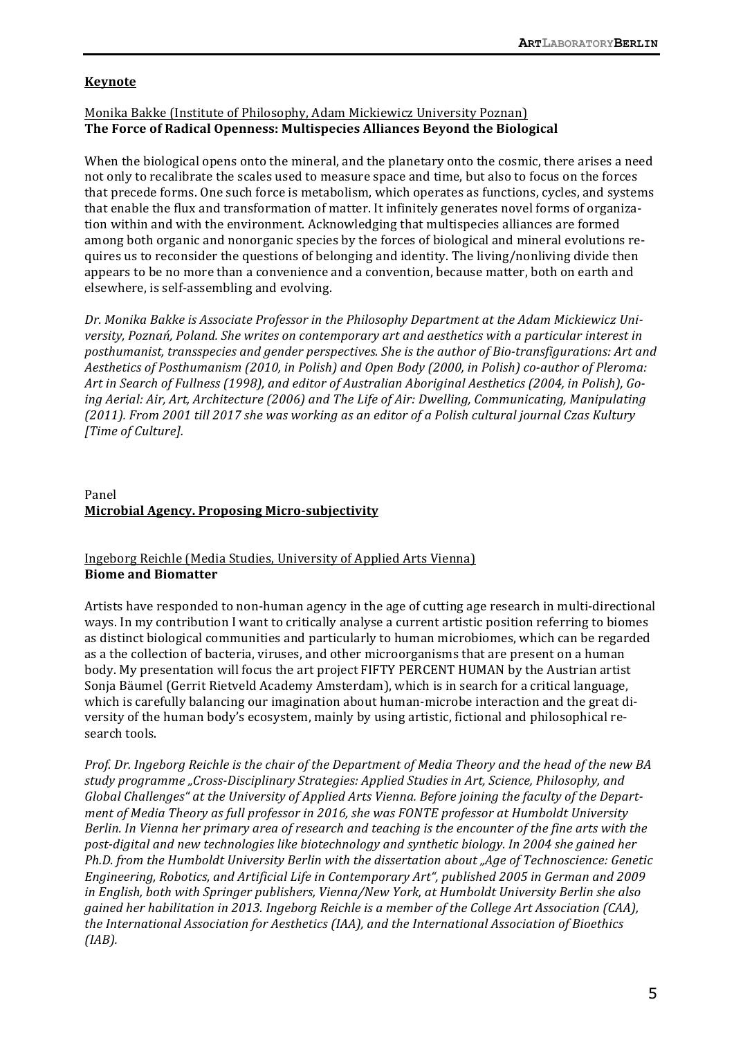#### **Keynote**

#### Monika Bakke (Institute of Philosophy, Adam Mickiewicz University Poznan) **The Force of Radical Openness: Multispecies Alliances Beyond the Biological**

When the biological opens onto the mineral, and the planetary onto the cosmic, there arises a need not only to recalibrate the scales used to measure space and time, but also to focus on the forces that precede forms. One such force is metabolism, which operates as functions, cycles, and systems that enable the flux and transformation of matter. It infinitely generates novel forms of organization within and with the environment. Acknowledging that multispecies alliances are formed among both organic and nonorganic species by the forces of biological and mineral evolutions requires us to reconsider the questions of belonging and identity. The living/nonliving divide then appears to be no more than a convenience and a convention, because matter, both on earth and elsewhere, is self-assembling and evolving.

Dr. Monika Bakke is Associate Professor in the Philosophy Department at the Adam Mickiewicz Uni*versity, Poznań, Poland. She writes on contemporary art and aesthetics with a particular interest in* posthumanist, transspecies and gender perspectives. She is the author of Bio-transfigurations: Art and Aesthetics of Posthumanism (2010, in Polish) and Open Body (2000, in Polish) co-author of Pleroma: Art in Search of Fullness (1998), and editor of Australian Aboriginal Aesthetics (2004, in Polish), Going Aerial: Air, Art, Architecture (2006) and The Life of Air: Dwelling, Communicating, Manipulating (2011). From 2001 till 2017 she was working as an editor of a Polish cultural journal Czas Kultury *[Time of Culture].*

# Panel **Microbial Agency. Proposing Micro-subjectivity**

#### Ingeborg Reichle (Media Studies, University of Applied Arts Vienna) **Biome and Biomatter**

Artists have responded to non-human agency in the age of cutting age research in multi-directional ways. In my contribution I want to critically analyse a current artistic position referring to biomes as distinct biological communities and particularly to human microbiomes, which can be regarded as a the collection of bacteria, viruses, and other microorganisms that are present on a human body. My presentation will focus the art project FIFTY PERCENT HUMAN by the Austrian artist Sonja Bäumel (Gerrit Rietveld Academy Amsterdam), which is in search for a critical language, which is carefully balancing our imagination about human-microbe interaction and the great diversity of the human body's ecosystem, mainly by using artistic, fictional and philosophical research tools.

*Prof.* Dr. Ingeborg Reichle is the chair of the Department of Media Theory and the head of the new BA study programme "Cross-Disciplinary Strategies: Applied Studies in Art, Science, Philosophy, and *Global Challenges*" at the University of Applied Arts Vienna. Before joining the faculty of the Depart*ment of Media Theory as full professor in 2016, she was FONTE professor at Humboldt University Berlin. In Vienna her primary area of research and teaching is the encounter of the fine arts with the* post-digital and new technologies like biotechnology and synthetic biology. In 2004 she gained her *Ph.D.* from the Humboldt University Berlin with the dissertation about "Age of Technoscience: Genetic Engineering, Robotics, and Artificial Life in Contemporary Art", published 2005 in German and 2009 *in* English, both with Springer publishers, Vienna/New York, at Humboldt University Berlin she also *gained her habilitation in 2013. Ingeborg Reichle is a member of the College Art Association (CAA),* the International Association for Aesthetics (IAA), and the International Association of Bioethics *(IAB).*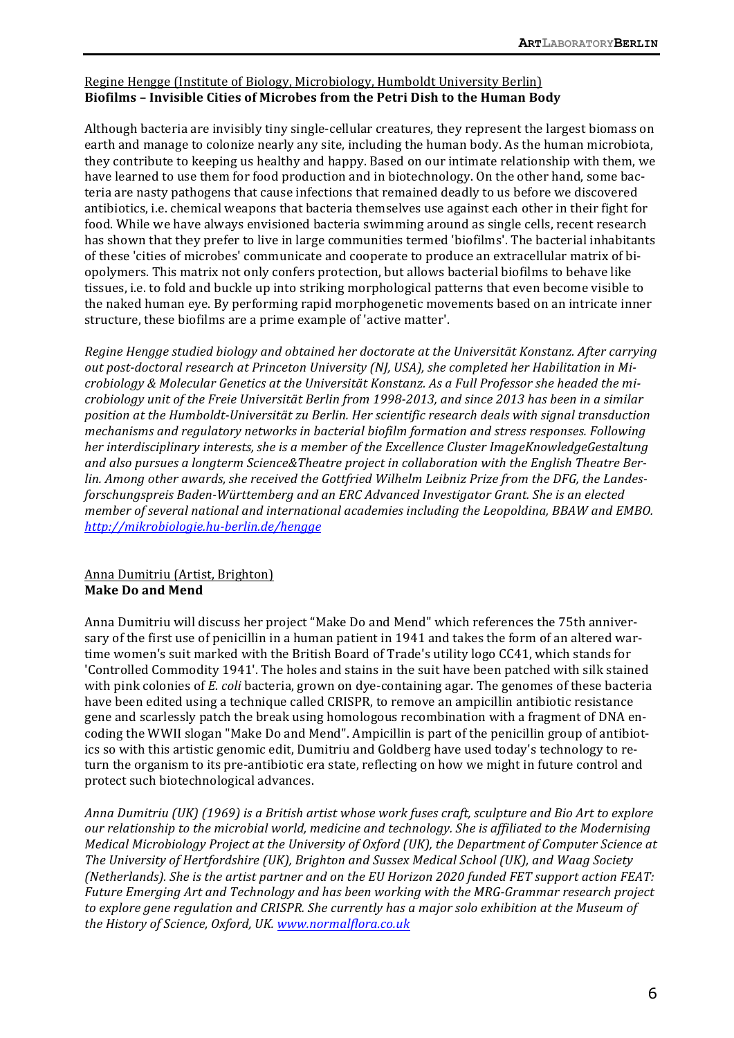### Regine Hengge (Institute of Biology, Microbiology, Humboldt University Berlin) Biofilms – Invisible Cities of Microbes from the Petri Dish to the Human Body

Although bacteria are invisibly tiny single-cellular creatures, they represent the largest biomass on earth and manage to colonize nearly any site, including the human body. As the human microbiota, they contribute to keeping us healthy and happy. Based on our intimate relationship with them, we have learned to use them for food production and in biotechnology. On the other hand, some bacteria are nasty pathogens that cause infections that remained deadly to us before we discovered antibiotics, i.e. chemical weapons that bacteria themselves use against each other in their fight for food. While we have always envisioned bacteria swimming around as single cells, recent research has shown that they prefer to live in large communities termed 'biofilms'. The bacterial inhabitants of these 'cities of microbes' communicate and cooperate to produce an extracellular matrix of biopolymers. This matrix not only confers protection, but allows bacterial biofilms to behave like tissues, i.e. to fold and buckle up into striking morphological patterns that even become visible to the naked human eye. By performing rapid morphogenetic movements based on an intricate inner structure, these biofilms are a prime example of 'active matter'.

*Regine Hengge studied biology and obtained her doctorate at the Universität Konstanz. After carrying* out post-doctoral research at Princeton University (NJ, USA), she completed her Habilitation in Mi*crobiology & Molecular Genetics at the Universität Konstanz. As a Full Professor she headed the microbiology unit of the Freie Universität Berlin from 1998-2013, and since 2013 has been in a similar position at the Humboldt-Universität zu Berlin. Her scientific research deals with signal transduction mechanisms and regulatory networks in bacterial biofilm formation and stress responses. Following her* interdisciplinary interests, she is a member of the Excellence Cluster ImageKnowledgeGestaltung and also pursues a longterm Science&Theatre project in collaboration with the English Theatre Berlin. Among other awards, she received the Gottfried Wilhelm Leibniz Prize from the DFG, the Landes*forschungspreis Baden-Württemberg and an ERC Advanced Investigator Grant. She is an elected member of several national and international academies including the Leopoldina, BBAW and EMBO. http://mikrobiologie.hu-berlin.de/hengge*

# Anna Dumitriu (Artist, Brighton) **Make Do and Mend**

Anna Dumitriu will discuss her project "Make Do and Mend" which references the 75th anniversary of the first use of penicillin in a human patient in 1941 and takes the form of an altered wartime women's suit marked with the British Board of Trade's utility logo CC41, which stands for 'Controlled Commodity 1941'. The holes and stains in the suit have been patched with silk stained with pink colonies of *E. coli* bacteria, grown on dye-containing agar. The genomes of these bacteria have been edited using a technique called CRISPR, to remove an ampicillin antibiotic resistance gene and scarlessly patch the break using homologous recombination with a fragment of DNA encoding the WWII slogan "Make Do and Mend". Ampicillin is part of the penicillin group of antibiotics so with this artistic genomic edit, Dumitriu and Goldberg have used today's technology to return the organism to its pre-antibiotic era state, reflecting on how we might in future control and protect such biotechnological advances.

*Anna Dumitriu* (UK) (1969) is a British artist whose work fuses craft, sculpture and Bio Art to explore our relationship to the microbial world, medicine and technology. She is affiliated to the Modernising *Medical Microbiology Project at the University of Oxford (UK), the Department of Computer Science at* The University of Hertfordshire (UK), Brighton and Sussex Medical School (UK), and Waag Society *(Netherlands).* She is the artist partner and on the EU Horizon 2020 funded FET support action FEAT: Future Emerging Art and Technology and has been working with the MRG-Grammar research project to explore gene regulation and CRISPR. She currently has a major solo exhibition at the Museum of *the History of Science, Oxford, UK. www.normalflora.co.uk*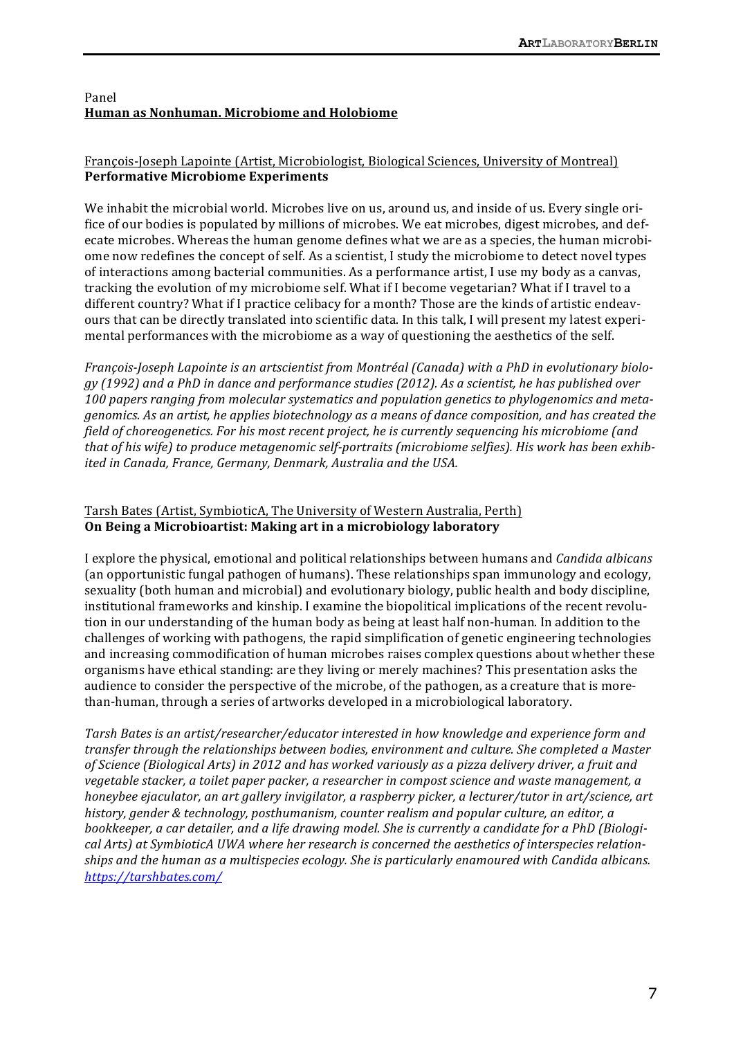# Panel **Human as Nonhuman. Microbiome and Holobiome**

# François-Joseph Lapointe (Artist, Microbiologist, Biological Sciences, University of Montreal) **Performative Microbiome Experiments**

We inhabit the microbial world. Microbes live on us, around us, and inside of us. Every single orifice of our bodies is populated by millions of microbes. We eat microbes, digest microbes, and defecate microbes. Whereas the human genome defines what we are as a species, the human microbiome now redefines the concept of self. As a scientist, I study the microbiome to detect novel types of interactions among bacterial communities. As a performance artist, I use my body as a canvas, tracking the evolution of my microbiome self. What if I become vegetarian? What if I travel to a different country? What if I practice celibacy for a month? Those are the kinds of artistic endeavours that can be directly translated into scientific data. In this talk, I will present my latest experimental performances with the microbiome as a way of questioning the aesthetics of the self.

*François-Joseph Lapointe is an artscientist from Montréal (Canada) with a PhD in evolutionary biology (1992) and a PhD in dance and performance studies (2012). As a scientist, he has published over*  100 papers ranging from molecular systematics and population genetics to phylogenomics and meta*genomics.* As an artist, he applies biotechnology as a means of dance composition, and has created the *field* of choreogenetics. For his most recent project, he is currently sequencing his microbiome (and *that* of his wife) to produce metagenomic self-portraits (microbiome selfies). His work has been exhib*ited in Canada, France, Germany, Denmark, Australia and the USA.* 

# Tarsh Bates (Artist, SymbioticA, The University of Western Australia, Perth) **On Being a Microbioartist: Making art in a microbiology laboratory**

I explore the physical, emotional and political relationships between humans and *Candida albicans* (an opportunistic fungal pathogen of humans). These relationships span immunology and ecology, sexuality (both human and microbial) and evolutionary biology, public health and body discipline, institutional frameworks and kinship. I examine the biopolitical implications of the recent revolution in our understanding of the human body as being at least half non-human. In addition to the challenges of working with pathogens, the rapid simplification of genetic engineering technologies and increasing commodification of human microbes raises complex questions about whether these organisms have ethical standing: are they living or merely machines? This presentation asks the audience to consider the perspective of the microbe, of the pathogen, as a creature that is morethan-human, through a series of artworks developed in a microbiological laboratory.

Tarsh Bates is an artist/researcher/educator interested in how knowledge and experience form and *transfer through the relationships between bodies, environment and culture. She completed a Master* of Science (Biological Arts) in 2012 and has worked variously as a pizza delivery driver, a fruit and *vegetable stacker, a toilet paper packer, a researcher in compost science and waste management, a honeybee ejaculator, an art gallery invigilator, a raspberry picker, a lecturer/tutor in art/science, art* history, gender & technology, posthumanism, counter realism and popular culture, an editor, a bookkeeper, a car detailer, and a life drawing model. She is currently a candidate for a PhD (Biological Arts) at SymbioticA UWA where her research is concerned the aesthetics of interspecies relationships and the human as a multispecies ecology. She is particularly enamoured with Candida albicans. *https://tarshbates.com/*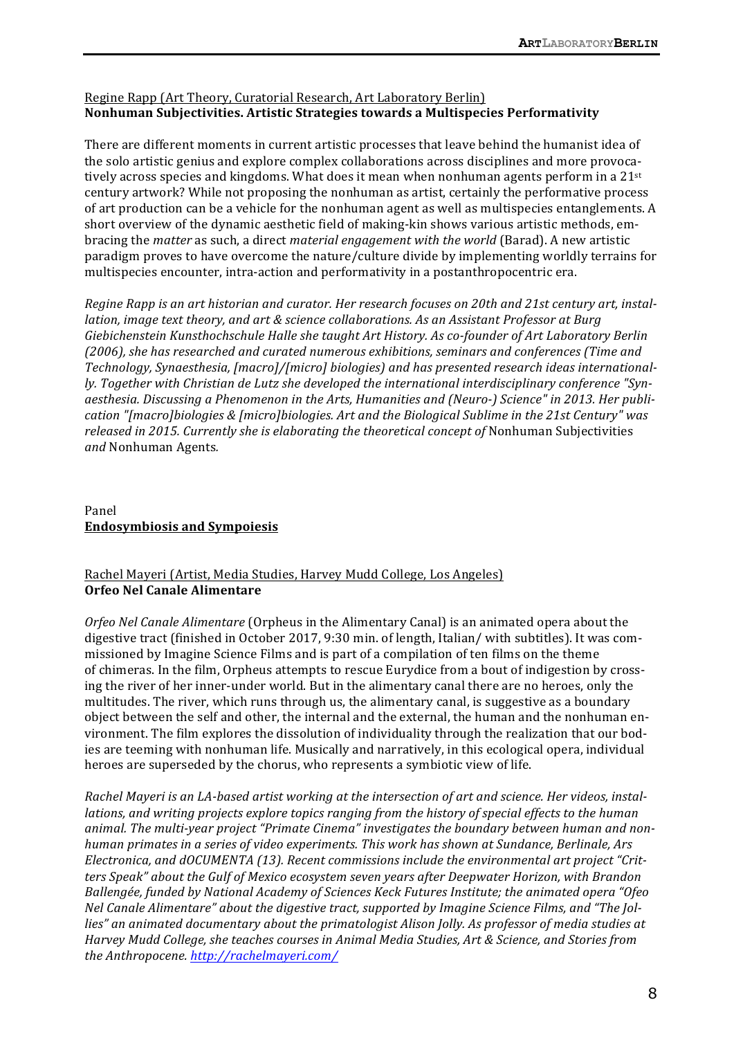# Regine Rapp (Art Theory, Curatorial Research, Art Laboratory Berlin) **Nonhuman Subjectivities. Artistic Strategies towards a Multispecies Performativity**

There are different moments in current artistic processes that leave behind the humanist idea of the solo artistic genius and explore complex collaborations across disciplines and more provocatively across species and kingdoms. What does it mean when nonhuman agents perform in a  $21^{st}$ century artwork? While not proposing the nonhuman as artist, certainly the performative process of art production can be a vehicle for the nonhuman agent as well as multispecies entanglements. A short overview of the dynamic aesthetic field of making-kin shows various artistic methods, embracing the *matter* as such, a direct *material engagement with the world* (Barad). A new artistic paradigm proves to have overcome the nature/culture divide by implementing worldly terrains for multispecies encounter, intra-action and performativity in a postanthropocentric era.

*Regine Rapp is an art historian and curator. Her research focuses on 20th and 21st century art, installation, image text theory, and art & science collaborations. As an Assistant Professor at Burg* Giebichenstein Kunsthochschule Halle she taught Art History. As co-founder of Art Laboratory Berlin (2006), she has researched and curated numerous exhibitions, seminars and conferences (Time and Technology, Synaesthesia, [macro]/[micro] biologies) and has presented research ideas international*ly.* Together with Christian de Lutz she developed the international interdisciplinary conference "Synaesthesia. Discussing a Phenomenon in the Arts, Humanities and (Neuro-) Science" in 2013. Her publication "[macro]biologies & [micro]biologies. Art and the Biological Sublime in the 21st Century" was *released in 2015. Currently she is elaborating the theoretical concept of Nonhuman Subjectivities and* Nonhuman Agents*.*

# Panel **Endosymbiosis and Sympoiesis**

# Rachel Mayeri (Artist, Media Studies, Harvey Mudd College, Los Angeles) **Orfeo Nel Canale Alimentare**

*Orfeo Nel Canale Alimentare* (Orpheus in the Alimentary Canal) is an animated opera about the digestive tract (finished in October 2017, 9:30 min. of length, Italian/ with subtitles). It was commissioned by Imagine Science Films and is part of a compilation of ten films on the theme of chimeras. In the film, Orpheus attempts to rescue Eurydice from a bout of indigestion by crossing the river of her inner-under world. But in the alimentary canal there are no heroes, only the multitudes. The river, which runs through us, the alimentary canal, is suggestive as a boundary object between the self and other, the internal and the external, the human and the nonhuman environment. The film explores the dissolution of individuality through the realization that our bodies are teeming with nonhuman life. Musically and narratively, in this ecological opera, individual heroes are superseded by the chorus, who represents a symbiotic view of life.

*Rachel Mayeri is an LA-based artist working at the intersection of art and science. Her videos, installations, and writing projects explore topics ranging from the history of special effects to the human* animal. The multi-year project "Primate Cinema" investigates the boundary between human and non*human primates in a series of video experiments. This work has shown at Sundance, Berlinale, Ars* Electronica, and dOCUMENTA (13). Recent commissions include the environmental art project "Critters Speak" about the Gulf of Mexico ecosystem seven years after Deepwater Horizon, with Brandon *Ballengée, funded by National Academy of Sciences Keck Futures Institute; the animated opera "Ofeo Nel Canale Alimentare"* about the digestive tract, supported by Imagine Science Films, and "The Jollies" an animated documentary about the primatologist Alison Jolly. As professor of media studies at *Harvey Mudd College, she teaches courses in Animal Media Studies, Art & Science, and Stories from the Anthropocene. http://rachelmayeri.com/*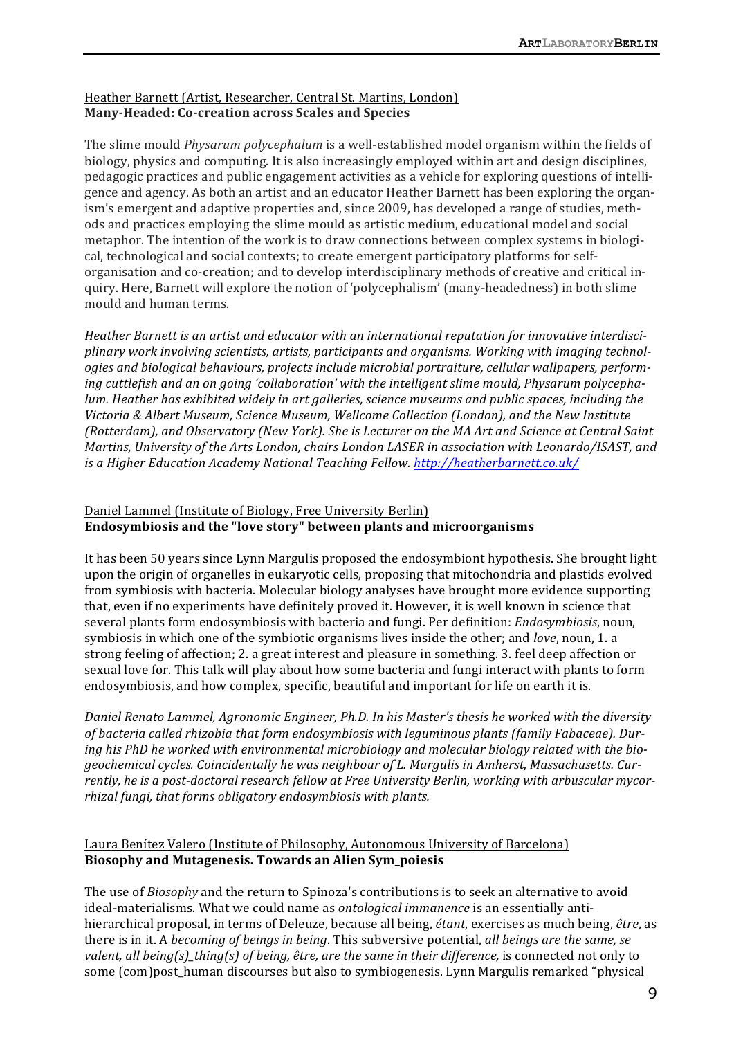# Heather Barnett (Artist, Researcher, Central St. Martins, London) Many-Headed: Co-creation across Scales and Species

The slime mould *Physarum polycephalum* is a well-established model organism within the fields of biology, physics and computing. It is also increasingly employed within art and design disciplines, pedagogic practices and public engagement activities as a vehicle for exploring questions of intelligence and agency. As both an artist and an educator Heather Barnett has been exploring the organism's emergent and adaptive properties and, since 2009, has developed a range of studies, methods and practices employing the slime mould as artistic medium, educational model and social metaphor. The intention of the work is to draw connections between complex systems in biological, technological and social contexts; to create emergent participatory platforms for selforganisation and co-creation; and to develop interdisciplinary methods of creative and critical inquiry. Here, Barnett will explore the notion of 'polycephalism' (many-headedness) in both slime mould and human terms.

Heather Barnett is an artist and educator with an international reputation for innovative interdisciplinary work involving scientists, artists, participants and organisms. Working with imaging technologies and biological behaviours, projects include microbial portraiture, cellular wallpapers, performing cuttlefish and an on going 'collaboration' with the intelligent slime mould, Physarum polycepha*lum.* Heather has exhibited widely in art galleries, science museums and public spaces, including the *Victoria & Albert Museum, Science Museum, Wellcome Collection (London), and the New Institute (Rotterdam), and Observatory (New York). She is Lecturer on the MA Art and Science at Central Saint Martins, University of the Arts London, chairs London LASER in association with Leonardo/ISAST, and is a Higher Education Academy National Teaching Fellow. http://heatherbarnett.co.uk/* 

# Daniel Lammel (Institute of Biology, Free University Berlin) Endosymbiosis and the "love story" between plants and microorganisms

It has been 50 years since Lynn Margulis proposed the endosymbiont hypothesis. She brought light upon the origin of organelles in eukaryotic cells, proposing that mitochondria and plastids evolved from symbiosis with bacteria. Molecular biology analyses have brought more evidence supporting that, even if no experiments have definitely proved it. However, it is well known in science that several plants form endosymbiosis with bacteria and fungi. Per definition: *Endosymbiosis*, noun, symbiosis in which one of the symbiotic organisms lives inside the other; and *love*, noun, 1. a strong feeling of affection; 2. a great interest and pleasure in something. 3. feel deep affection or sexual love for. This talk will play about how some bacteria and fungi interact with plants to form endosymbiosis, and how complex, specific, beautiful and important for life on earth it is.

*Daniel Renato Lammel, Agronomic Engineer, Ph.D. In his Master's thesis he worked with the diversity* of bacteria called rhizobia that form endosymbiosis with leguminous plants (family Fabaceae). During his PhD he worked with environmental microbiology and molecular biology related with the biogeochemical cycles. Coincidentally he was neighbour of L. Margulis in Amherst, Massachusetts. Cur*rently, he is a post-doctoral research fellow at Free University Berlin, working with arbuscular mycorrhizal fungi, that forms obligatory endosymbiosis with plants.* 

# Laura Benítez Valero (Institute of Philosophy, Autonomous University of Barcelona) **Biosophy and Mutagenesis. Towards an Alien Sym\_poiesis**

The use of *Biosophy* and the return to Spinoza's contributions is to seek an alternative to avoid ideal-materialisms. What we could name as *ontological immanence* is an essentially antihierarchical proposal, in terms of Deleuze, because all being, *étant*, exercises as much being, *être*, as there is in it. A *becoming of beings in being*. This subversive potential, *all beings are the same, se valent, all being(s)\_thing(s)* of *being, être, are the same in their difference,* is connected not only to some (com)post\_human discourses but also to symbiogenesis. Lynn Margulis remarked "physical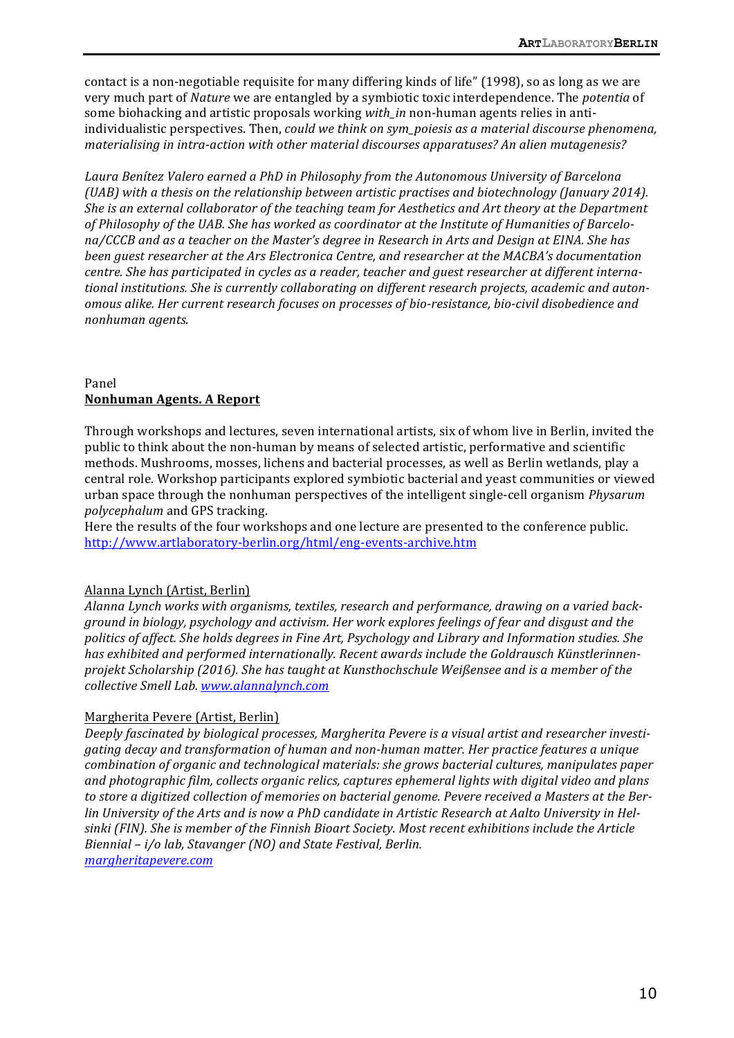contact is a non-negotiable requisite for many differing kinds of life" (1998), so as long as we are very much part of *Nature* we are entangled by a symbiotic toxic interdependence. The *potentia* of some biohacking and artistic proposals working *with\_in* non-human agents relies in antiindividualistic perspectives. Then, *could we think on sym\_poiesis as a material discourse phenomena*, *materialising in intra-action with other material discourses apparatuses? An alien mutagenesis?* 

Laura Benítez Valero earned a PhD in Philosophy from the Autonomous University of Barcelona *(UAB)* with a thesis on the relationship between artistic practises and biotechnology *(January 2014).* She is an external collaborator of the teaching team for Aesthetics and Art theory at the Department of Philosophy of the UAB. She has worked as coordinator at the Institute of Humanities of Barcelona/CCCB and as a teacher on the Master's degree in Research in Arts and Design at EINA. She has *been guest researcher at the Ars Electronica Centre, and researcher at the MACBA's documentation centre.* She has participated in cycles as a reader, teacher and guest researcher at different international institutions. She is currently collaborating on different research projects, academic and auton*omous alike. Her current research focuses on processes of bio-resistance, bio-civil disobedience and nonhuman agents.*

### Panel **Nonhuman Agents. A Report**

Through workshops and lectures, seven international artists, six of whom live in Berlin, invited the public to think about the non-human by means of selected artistic, performative and scientific methods. Mushrooms, mosses, lichens and bacterial processes, as well as Berlin wetlands, play a central role. Workshop participants explored symbiotic bacterial and yeast communities or viewed urban space through the nonhuman perspectives of the intelligent single-cell organism *Physarum polycephalum* and GPS tracking.

Here the results of the four workshops and one lecture are presented to the conference public. http://www.artlaboratory-berlin.org/html/eng-events-archive.htm

# Alanna Lynch (Artist, Berlin)

Alanna Lynch works with organisms, textiles, research and performance, drawing on a varied back*ground* in biology, psychology and activism. Her work explores feelings of fear and disgust and the politics of affect. She holds degrees in Fine Art, Psychology and Library and Information studies. She has exhibited and performed internationally. Recent awards include the Goldrausch Künstlerinnen*projekt Scholarship (2016). She has taught at Kunsthochschule Weißensee and is a member of the collective Smell Lab. www.alannalynch.com*

# Margherita Pevere (Artist, Berlin)

Deeply fascinated by biological processes, Margherita Pevere is a visual artist and researcher investi*gating decay and transformation of human and non-human matter. Her practice features a unique combination of organic and technological materials: she grows bacterial cultures, manipulates paper* and photographic film, collects organic relics, captures ephemeral lights with digital video and plans to store a digitized collection of memories on bacterial genome. Pevere received a Masters at the Berlin University of the Arts and is now a PhD candidate in Artistic Research at Aalto University in Helsinki (FIN). She is member of the Finnish Bioart Society. Most recent exhibitions include the Article *Biennial* – *i/o lab, Stavanger* (NO) and State Festival, Berlin.

*margheritapevere.com*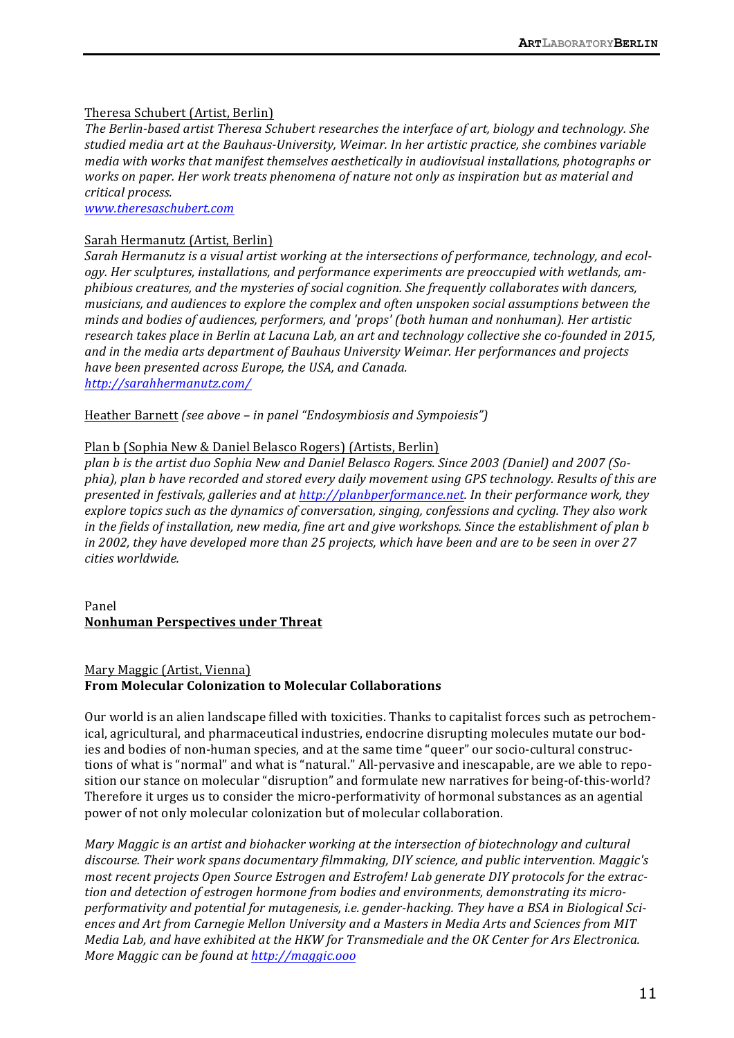#### Theresa Schubert (Artist, Berlin)

The Berlin-based artist Theresa Schubert researches the interface of art, biology and technology. She studied media art at the Bauhaus-University, Weimar. In her artistic practice, she combines variable *media* with works that manifest themselves aesthetically in audiovisual installations, photographs or *works* on paper. Her work treats phenomena of nature not only as inspiration but as material and *critical process.*

*www.theresaschubert.com*

#### Sarah Hermanutz (Artist, Berlin)

Sarah Hermanutz is a visual artist working at the intersections of performance, technology, and ecology. Her sculptures, installations, and performance experiments are preoccupied with wetlands, am*phibious creatures, and the mysteries of social cognition. She frequently collaborates with dancers, musicians, and audiences to explore the complex and often unspoken social assumptions between the minds and bodies of audiences, performers, and 'props' (both human and nonhuman). Her artistic research takes place in Berlin at Lacuna Lab, an art and technology collective she co-founded in 2015,* and in the media arts department of Bauhaus University Weimar. Her performances and projects *have been presented across Europe, the USA, and Canada.*

*http://sarahhermanutz.com/*

Heather Barnett *(see above – in panel "Endosymbiosis and Sympoiesis")* 

#### Plan b (Sophia New & Daniel Belasco Rogers) (Artists, Berlin)

plan b is the artist duo Sophia New and Daniel Belasco Rogers. Since 2003 (Daniel) and 2007 (Sophia), plan b have recorded and stored every daily movement using GPS technology. Results of this are *presented in festivals, galleries and at http://planbperformance.net. In their performance work, they* explore topics such as the dynamics of conversation, singing, confessions and cycling. They also work *in* the fields of installation, new media, fine art and give workshops. Since the establishment of plan b *in* 2002, they have developed more than 25 projects, which have been and are to be seen in over 27 *cities worldwide.*

Panel **Nonhuman Perspectives under Threat**

#### Mary Maggic (Artist, Vienna) **From Molecular Colonization to Molecular Collaborations**

Our world is an alien landscape filled with toxicities. Thanks to capitalist forces such as petrochemical, agricultural, and pharmaceutical industries, endocrine disrupting molecules mutate our bodies and bodies of non-human species, and at the same time "queer" our socio-cultural constructions of what is "normal" and what is "natural." All-pervasive and inescapable, are we able to reposition our stance on molecular "disruption" and formulate new narratives for being-of-this-world? Therefore it urges us to consider the micro-performativity of hormonal substances as an agential power of not only molecular colonization but of molecular collaboration.

*Mary Maggic is an artist and biohacker working at the intersection of biotechnology and cultural* discourse. Their work spans documentary filmmaking, DIY science, and public intervention. Maggic's *most recent projects Open Source Estrogen and Estrofem! Lab generate DIY protocols for the extrac*tion and detection of estrogen hormone from bodies and environments, demonstrating its micro*performativity* and potential for mutagenesis, i.e. gender-hacking. They have a BSA in Biological Sciences and Art from Carnegie Mellon University and a Masters in Media Arts and Sciences from MIT *Media Lab, and have exhibited at the HKW for Transmediale and the OK Center for Ars Electronica. More Maggic can be found at http://maggic.ooo*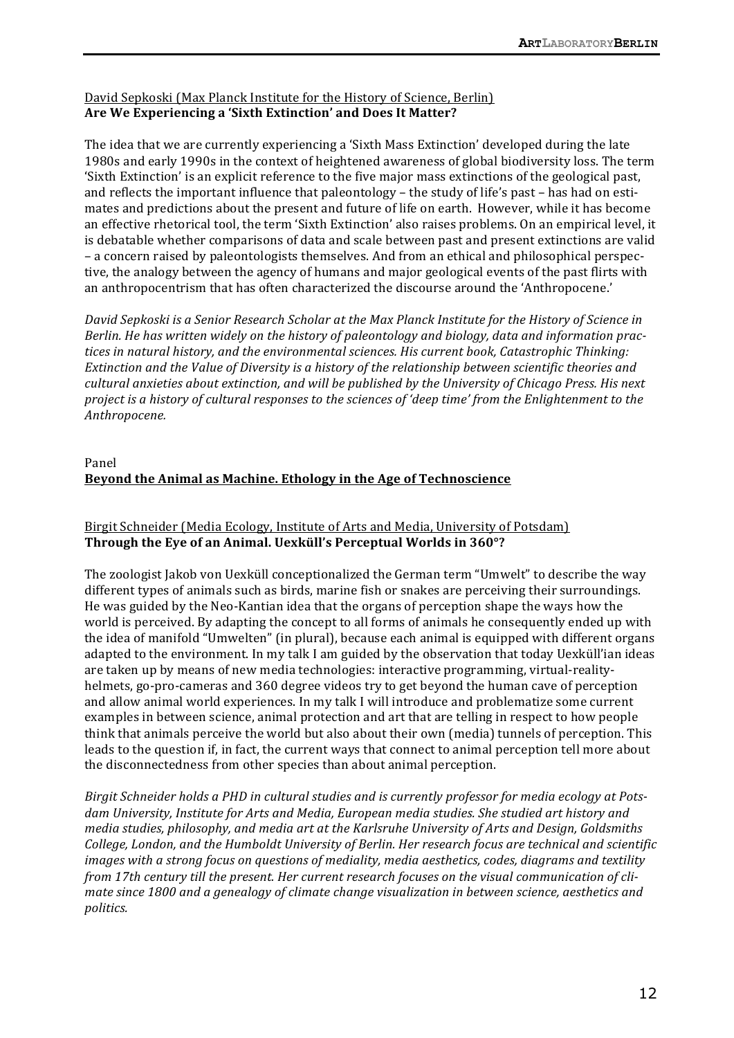# David Sepkoski (Max Planck Institute for the History of Science, Berlin) Are We Experiencing a 'Sixth Extinction' and Does It Matter?

The idea that we are currently experiencing a 'Sixth Mass Extinction' developed during the late 1980s and early 1990s in the context of heightened awareness of global biodiversity loss. The term 'Sixth Extinction' is an explicit reference to the five major mass extinctions of the geological past, and reflects the important influence that paleontology – the study of life's past – has had on estimates and predictions about the present and future of life on earth. However, while it has become an effective rhetorical tool, the term 'Sixth Extinction' also raises problems. On an empirical level, it is debatable whether comparisons of data and scale between past and present extinctions are valid – a concern raised by paleontologists themselves. And from an ethical and philosophical perspective, the analogy between the agency of humans and major geological events of the past flirts with an anthropocentrism that has often characterized the discourse around the 'Anthropocene.'

*David Sepkoski is a Senior Research Scholar at the Max Planck Institute for the History of Science in Berlin.* He has written widely on the history of paleontology and biology, data and information practices in natural history, and the environmental sciences. His current book, Catastrophic Thinking: *Extinction and the Value of Diversity is a history of the relationship between scientific theories and* cultural anxieties about extinction, and will be published by the University of Chicago Press. His next *project* is a history of cultural responses to the sciences of 'deep time' from the Enlightenment to the *Anthropocene.*

# Panel **Beyond the Animal as Machine. Ethology in the Age of Technoscience**

# Birgit Schneider (Media Ecology, Institute of Arts and Media, University of Potsdam) Through the Eye of an Animal. Uexküll's Perceptual Worlds in 360°?

The zoologist Jakob von Uexküll conceptionalized the German term "Umwelt" to describe the way different types of animals such as birds, marine fish or snakes are perceiving their surroundings. He was guided by the Neo-Kantian idea that the organs of perception shape the ways how the world is perceived. By adapting the concept to all forms of animals he consequently ended up with the idea of manifold "Umwelten" (in plural), because each animal is equipped with different organs adapted to the environment. In my talk I am guided by the observation that today Uexküll'ian ideas are taken up by means of new media technologies: interactive programming, virtual-realityhelmets, go-pro-cameras and 360 degree videos try to get beyond the human cave of perception and allow animal world experiences. In my talk I will introduce and problematize some current examples in between science, animal protection and art that are telling in respect to how people think that animals perceive the world but also about their own (media) tunnels of perception. This leads to the question if, in fact, the current ways that connect to animal perception tell more about the disconnectedness from other species than about animal perception.

*Birgit Schneider holds a PHD in cultural studies and is currently professor for media ecology at Pots*dam University, Institute for Arts and Media, European media studies. She studied art history and *media studies, philosophy, and media art at the Karlsruhe University of Arts and Design, Goldsmiths College, London, and the Humboldt University of Berlin. Her research focus are technical and scientific images* with a strong focus on questions of mediality, media aesthetics, codes, diagrams and textility *from* 17th century till the present. Her current research focuses on the visual communication of cli*mate since 1800 and a genealogy of climate change visualization in between science, aesthetics and politics.*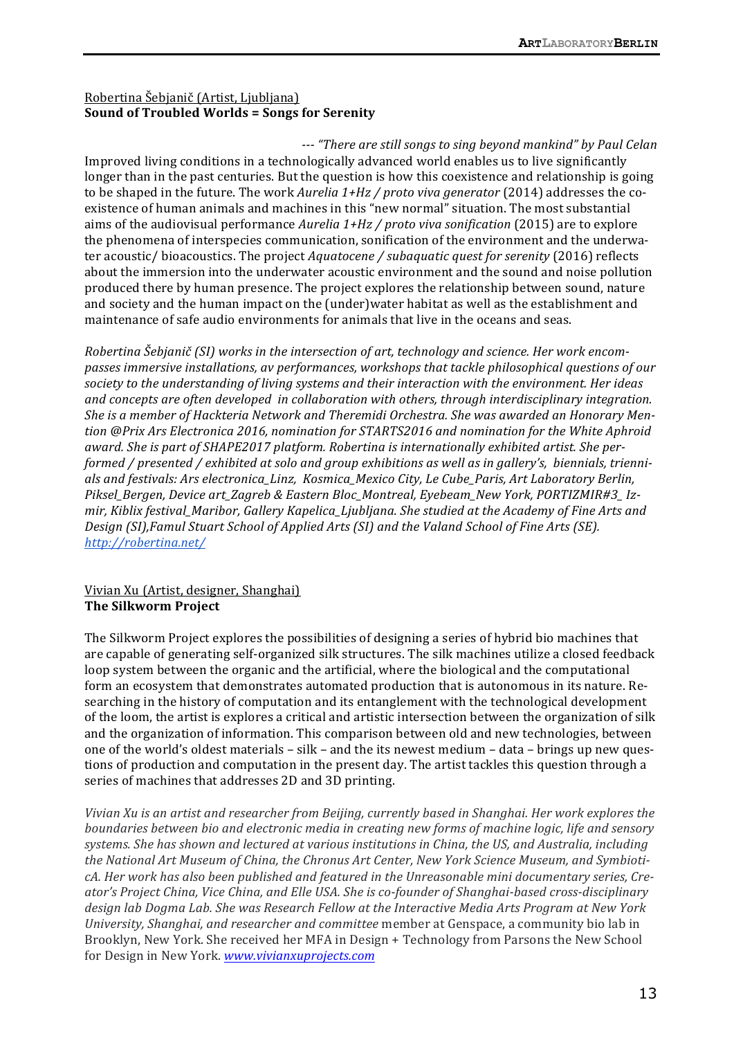# Robertina Šebjanič (Artist, Ljubljana) **Sound of Troubled Worlds = Songs for Serenity**

*--- "There are still songs to sing beyond mankind" by Paul Celan* Improved living conditions in a technologically advanced world enables us to live significantly longer than in the past centuries. But the question is how this coexistence and relationship is going to be shaped in the future. The work *Aurelia* 1+Hz / proto viva generator (2014) addresses the coexistence of human animals and machines in this "new normal" situation. The most substantial aims of the audiovisual performance *Aurelia* 1+Hz / *proto viva sonification* (2015) are to explore the phenomena of interspecies communication, sonification of the environment and the underwater acoustic/ bioacoustics. The project *Aquatocene* / subaquatic quest for serenity (2016) reflects about the immersion into the underwater acoustic environment and the sound and noise pollution produced there by human presence. The project explores the relationship between sound, nature and society and the human impact on the (under)water habitat as well as the establishment and maintenance of safe audio environments for animals that live in the oceans and seas.

*Robertina Šebjanič* (SI) works in the intersection of art, technology and science. Her work encom*passes immersive installations, av performances, workshops that tackle philosophical questions of our* society to the understanding of living systems and their interaction with the environment. Her ideas and concepts are often developed in collaboration with others, through interdisciplinary integration. She is a member of Hackteria Network and Theremidi Orchestra. She was awarded an Honorary Mention @Prix Ars Electronica 2016, nomination for STARTS2016 and nomination for the White Aphroid award. She is part of SHAPE2017 platform. Robertina is internationally exhibited artist. She per*formed* / *presented* / exhibited at solo and group exhibitions as well as in gallery's, biennials, triennials and festivals: Ars electronica\_Linz, Kosmica\_Mexico City, Le Cube\_Paris, Art Laboratory Berlin, Piksel\_Bergen, Device art\_Zagreb & Eastern Bloc\_Montreal, Eyebeam\_New York, PORTIZMIR#3\_ Iz*mir, Kiblix festival Maribor, Gallery Kapelica Ljubljana. She studied at the Academy of Fine Arts and Design* (SI), Famul Stuart School of Applied Arts (SI) and the Valand School of Fine Arts (SE). *http://robertina.net/* 

# Vivian Xu (Artist, designer, Shanghai) **The Silkworm Project**

The Silkworm Project explores the possibilities of designing a series of hybrid bio machines that are capable of generating self-organized silk structures. The silk machines utilize a closed feedback loop system between the organic and the artificial, where the biological and the computational form an ecosystem that demonstrates automated production that is autonomous in its nature. Researching in the history of computation and its entanglement with the technological development of the loom, the artist is explores a critical and artistic intersection between the organization of silk and the organization of information. This comparison between old and new technologies, between one of the world's oldest materials  $-$  silk  $-$  and the its newest medium  $-$  data  $-$  brings up new questions of production and computation in the present day. The artist tackles this question through a series of machines that addresses 2D and 3D printing.

*Vivian Xu is an artist and researcher from Beijing, currently based in Shanghai. Her work explores the boundaries between bio and electronic media in creating new forms of machine logic, life and sensory* systems. She has shown and lectured at various institutions in China, the US, and Australia, including the National Art Museum of China, the Chronus Art Center, New York Science Museum, and SymbioticA. Her work has also been published and featured in the Unreasonable mini documentary series, Creator's Project China, Vice China, and Elle USA. She is co-founder of Shanghai-based cross-disciplinary design lab Dogma Lab. She was Research Fellow at the Interactive Media Arts Program at New York *University, Shanghai, and researcher and committee* member at Genspace, a community bio lab in Brooklyn, New York. She received her MFA in Design + Technology from Parsons the New School for Design in New York. *www.vivianxuprojects.com*